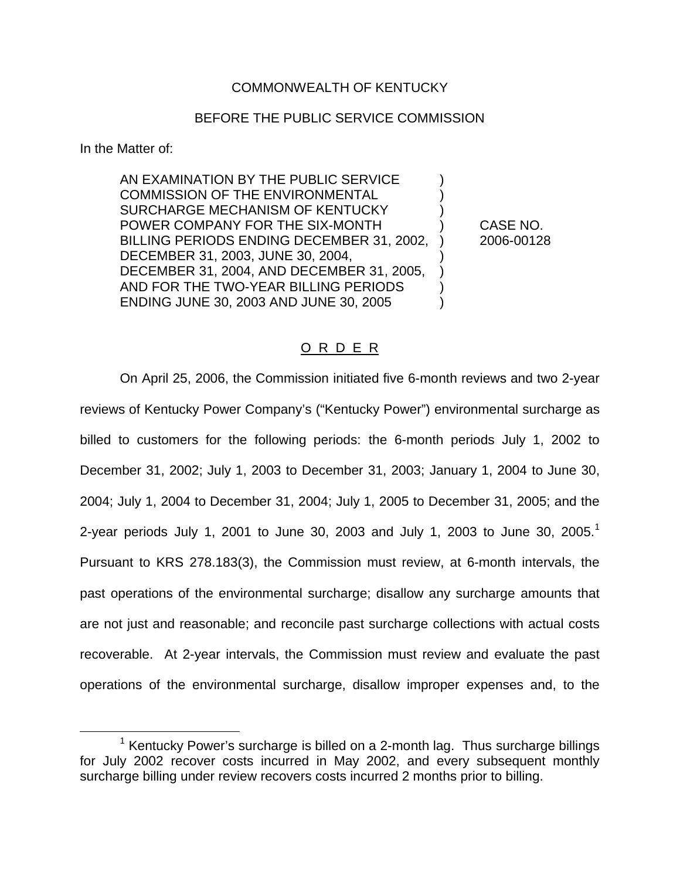## COMMONWEALTH OF KENTUCKY

## BEFORE THE PUBLIC SERVICE COMMISSION

In the Matter of:

AN EXAMINATION BY THE PUBLIC SERVICE ) COMMISSION OF THE ENVIRONMENTAL SURCHARGE MECHANISM OF KENTUCKY ) POWER COMPANY FOR THE SIX-MONTH ) CASE NO. BILLING PERIODS ENDING DECEMBER 31, 2002, ) 2006-00128 DECEMBER 31, 2003, JUNE 30, 2004, ) DECEMBER 31, 2004, AND DECEMBER 31, 2005, ) AND FOR THE TWO-YEAR BILLING PERIODS ENDING JUNE 30, 2003 AND JUNE 30, 2005 )

# O R D E R

On April 25, 2006, the Commission initiated five 6-month reviews and two 2-year reviews of Kentucky Power Company's ("Kentucky Power") environmental surcharge as billed to customers for the following periods: the 6-month periods July 1, 2002 to December 31, 2002; July 1, 2003 to December 31, 2003; January 1, 2004 to June 30, 2004; July 1, 2004 to December 31, 2004; July 1, 2005 to December 31, 2005; and the 2-year periods July 1, 2001 to June 30, 2003 and July 1, 2003 to June 30, 2005.<sup>1</sup> Pursuant to KRS 278.183(3), the Commission must review, at 6-month intervals, the past operations of the environmental surcharge; disallow any surcharge amounts that are not just and reasonable; and reconcile past surcharge collections with actual costs recoverable. At 2-year intervals, the Commission must review and evaluate the past operations of the environmental surcharge, disallow improper expenses and, to the

<sup>&</sup>lt;sup>1</sup> Kentucky Power's surcharge is billed on a 2-month lag. Thus surcharge billings for July 2002 recover costs incurred in May 2002, and every subsequent monthly surcharge billing under review recovers costs incurred 2 months prior to billing.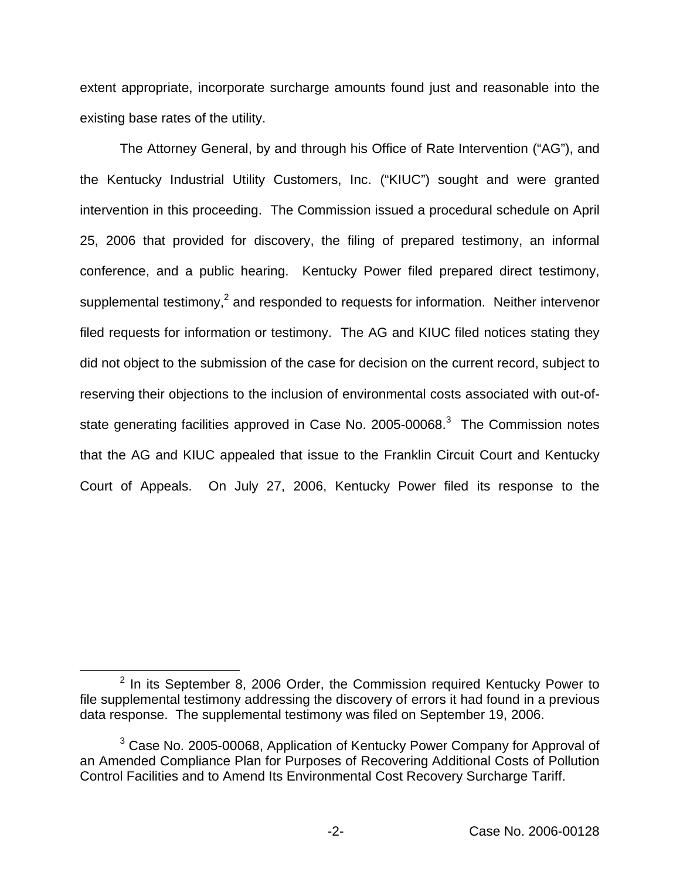extent appropriate, incorporate surcharge amounts found just and reasonable into the existing base rates of the utility.

The Attorney General, by and through his Office of Rate Intervention ("AG"), and the Kentucky Industrial Utility Customers, Inc. ("KIUC") sought and were granted intervention in this proceeding. The Commission issued a procedural schedule on April 25, 2006 that provided for discovery, the filing of prepared testimony, an informal conference, and a public hearing. Kentucky Power filed prepared direct testimony, supplemental testimony,<sup>2</sup> and responded to requests for information. Neither intervenor filed requests for information or testimony. The AG and KIUC filed notices stating they did not object to the submission of the case for decision on the current record, subject to reserving their objections to the inclusion of environmental costs associated with out-ofstate generating facilities approved in Case No.  $2005-00068$ <sup>3</sup>. The Commission notes that the AG and KIUC appealed that issue to the Franklin Circuit Court and Kentucky Court of Appeals. On July 27, 2006, Kentucky Power filed its response to the

 $2$  In its September 8, 2006 Order, the Commission required Kentucky Power to file supplemental testimony addressing the discovery of errors it had found in a previous data response. The supplemental testimony was filed on September 19, 2006.

 $3$  Case No. 2005-00068, Application of Kentucky Power Company for Approval of an Amended Compliance Plan for Purposes of Recovering Additional Costs of Pollution Control Facilities and to Amend Its Environmental Cost Recovery Surcharge Tariff.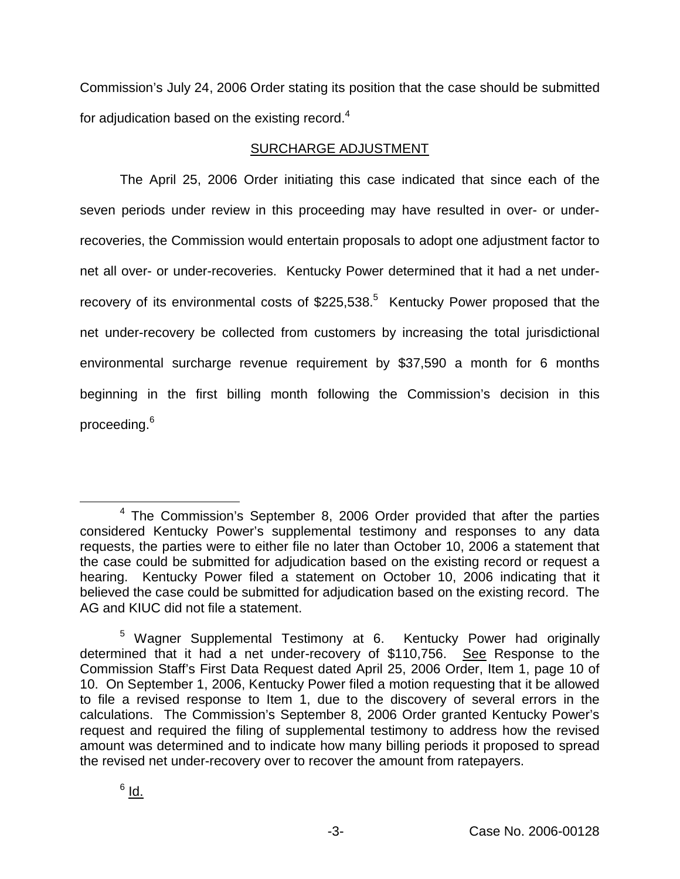Commission's July 24, 2006 Order stating its position that the case should be submitted for adjudication based on the existing record. $4$ 

# SURCHARGE ADJUSTMENT

The April 25, 2006 Order initiating this case indicated that since each of the seven periods under review in this proceeding may have resulted in over- or underrecoveries, the Commission would entertain proposals to adopt one adjustment factor to net all over- or under-recoveries. Kentucky Power determined that it had a net underrecovery of its environmental costs of  $$225,538<sup>5</sup>$  Kentucky Power proposed that the net under-recovery be collected from customers by increasing the total jurisdictional environmental surcharge revenue requirement by \$37,590 a month for 6 months beginning in the first billing month following the Commission's decision in this proceeding.<sup>6</sup>

<sup>4</sup> The Commission's September 8, 2006 Order provided that after the parties considered Kentucky Power's supplemental testimony and responses to any data requests, the parties were to either file no later than October 10, 2006 a statement that the case could be submitted for adjudication based on the existing record or request a hearing. Kentucky Power filed a statement on October 10, 2006 indicating that it believed the case could be submitted for adjudication based on the existing record. The AG and KIUC did not file a statement.

<sup>5</sup> Wagner Supplemental Testimony at 6. Kentucky Power had originally determined that it had a net under-recovery of \$110,756. See Response to the Commission Staff's First Data Request dated April 25, 2006 Order, Item 1, page 10 of 10. On September 1, 2006, Kentucky Power filed a motion requesting that it be allowed to file a revised response to Item 1, due to the discovery of several errors in the calculations. The Commission's September 8, 2006 Order granted Kentucky Power's request and required the filing of supplemental testimony to address how the revised amount was determined and to indicate how many billing periods it proposed to spread the revised net under-recovery over to recover the amount from ratepayers.

 $6$  Id.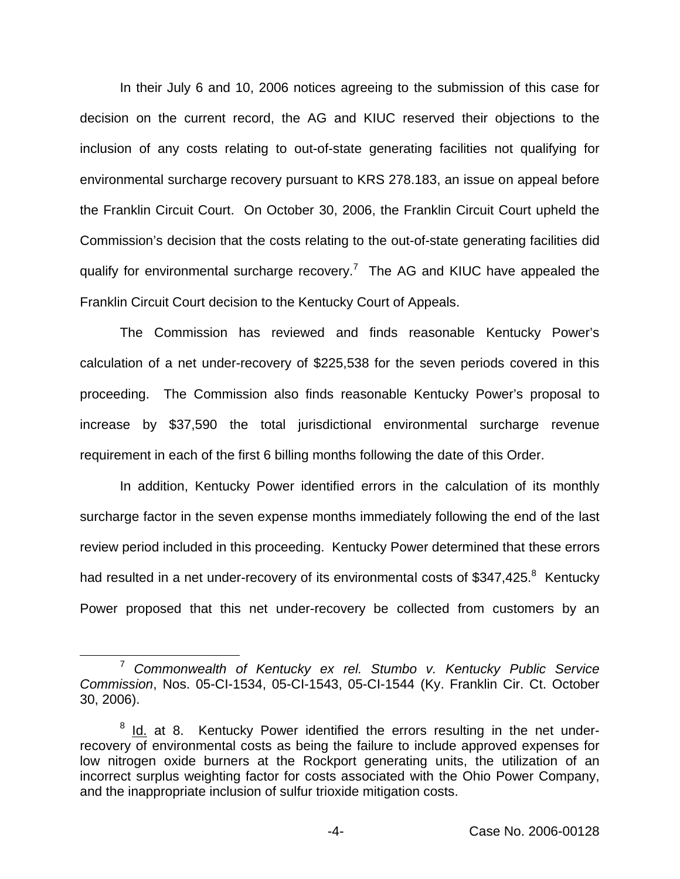In their July 6 and 10, 2006 notices agreeing to the submission of this case for decision on the current record, the AG and KIUC reserved their objections to the inclusion of any costs relating to out-of-state generating facilities not qualifying for environmental surcharge recovery pursuant to KRS 278.183, an issue on appeal before the Franklin Circuit Court. On October 30, 2006, the Franklin Circuit Court upheld the Commission's decision that the costs relating to the out-of-state generating facilities did qualify for environmental surcharge recovery.<sup>7</sup> The AG and KIUC have appealed the Franklin Circuit Court decision to the Kentucky Court of Appeals.

The Commission has reviewed and finds reasonable Kentucky Power's calculation of a net under-recovery of \$225,538 for the seven periods covered in this proceeding. The Commission also finds reasonable Kentucky Power's proposal to increase by \$37,590 the total jurisdictional environmental surcharge revenue requirement in each of the first 6 billing months following the date of this Order.

In addition, Kentucky Power identified errors in the calculation of its monthly surcharge factor in the seven expense months immediately following the end of the last review period included in this proceeding. Kentucky Power determined that these errors had resulted in a net under-recovery of its environmental costs of \$347,425.<sup>8</sup> Kentucky Power proposed that this net under-recovery be collected from customers by an

<sup>7</sup> *Commonwealth of Kentucky ex rel. Stumbo v. Kentucky Public Service Commission*, Nos. 05-CI-1534, 05-CI-1543, 05-CI-1544 (Ky. Franklin Cir. Ct. October 30, 2006).

 $8$  Id. at 8. Kentucky Power identified the errors resulting in the net underrecovery of environmental costs as being the failure to include approved expenses for low nitrogen oxide burners at the Rockport generating units, the utilization of an incorrect surplus weighting factor for costs associated with the Ohio Power Company, and the inappropriate inclusion of sulfur trioxide mitigation costs.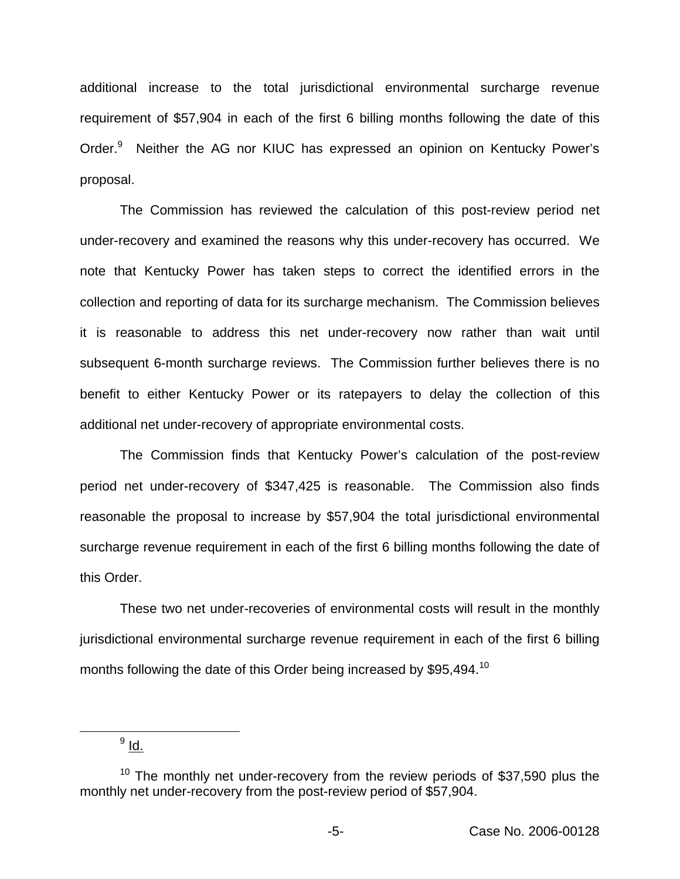additional increase to the total jurisdictional environmental surcharge revenue requirement of \$57,904 in each of the first 6 billing months following the date of this Order.<sup>9</sup> Neither the AG nor KIUC has expressed an opinion on Kentucky Power's proposal.

The Commission has reviewed the calculation of this post-review period net under-recovery and examined the reasons why this under-recovery has occurred. We note that Kentucky Power has taken steps to correct the identified errors in the collection and reporting of data for its surcharge mechanism. The Commission believes it is reasonable to address this net under-recovery now rather than wait until subsequent 6-month surcharge reviews. The Commission further believes there is no benefit to either Kentucky Power or its ratepayers to delay the collection of this additional net under-recovery of appropriate environmental costs.

The Commission finds that Kentucky Power's calculation of the post-review period net under-recovery of \$347,425 is reasonable. The Commission also finds reasonable the proposal to increase by \$57,904 the total jurisdictional environmental surcharge revenue requirement in each of the first 6 billing months following the date of this Order.

These two net under-recoveries of environmental costs will result in the monthly jurisdictional environmental surcharge revenue requirement in each of the first 6 billing months following the date of this Order being increased by \$95,494.<sup>10</sup>

 $9$  Id.

 $10$  The monthly net under-recovery from the review periods of \$37,590 plus the monthly net under-recovery from the post-review period of \$57,904.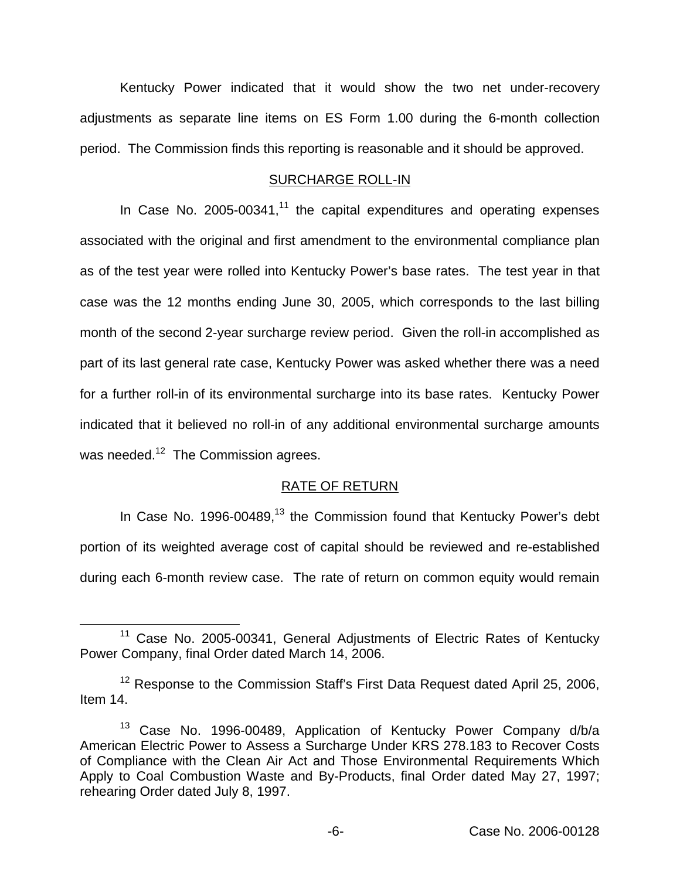Kentucky Power indicated that it would show the two net under-recovery adjustments as separate line items on ES Form 1.00 during the 6-month collection period. The Commission finds this reporting is reasonable and it should be approved.

#### SURCHARGE ROLL-IN

In Case No. 2005-00341, $<sup>11</sup>$  the capital expenditures and operating expenses</sup> associated with the original and first amendment to the environmental compliance plan as of the test year were rolled into Kentucky Power's base rates. The test year in that case was the 12 months ending June 30, 2005, which corresponds to the last billing month of the second 2-year surcharge review period. Given the roll-in accomplished as part of its last general rate case, Kentucky Power was asked whether there was a need for a further roll-in of its environmental surcharge into its base rates. Kentucky Power indicated that it believed no roll-in of any additional environmental surcharge amounts was needed.<sup>12</sup> The Commission agrees.

### RATE OF RETURN

In Case No. 1996-00489, $^{13}$  the Commission found that Kentucky Power's debt portion of its weighted average cost of capital should be reviewed and re-established during each 6-month review case. The rate of return on common equity would remain

<sup>&</sup>lt;sup>11</sup> Case No. 2005-00341, General Adjustments of Electric Rates of Kentucky Power Company, final Order dated March 14, 2006.

<sup>&</sup>lt;sup>12</sup> Response to the Commission Staff's First Data Request dated April 25, 2006, Item 14.

<sup>&</sup>lt;sup>13</sup> Case No. 1996-00489, Application of Kentucky Power Company d/b/a American Electric Power to Assess a Surcharge Under KRS 278.183 to Recover Costs of Compliance with the Clean Air Act and Those Environmental Requirements Which Apply to Coal Combustion Waste and By-Products, final Order dated May 27, 1997; rehearing Order dated July 8, 1997.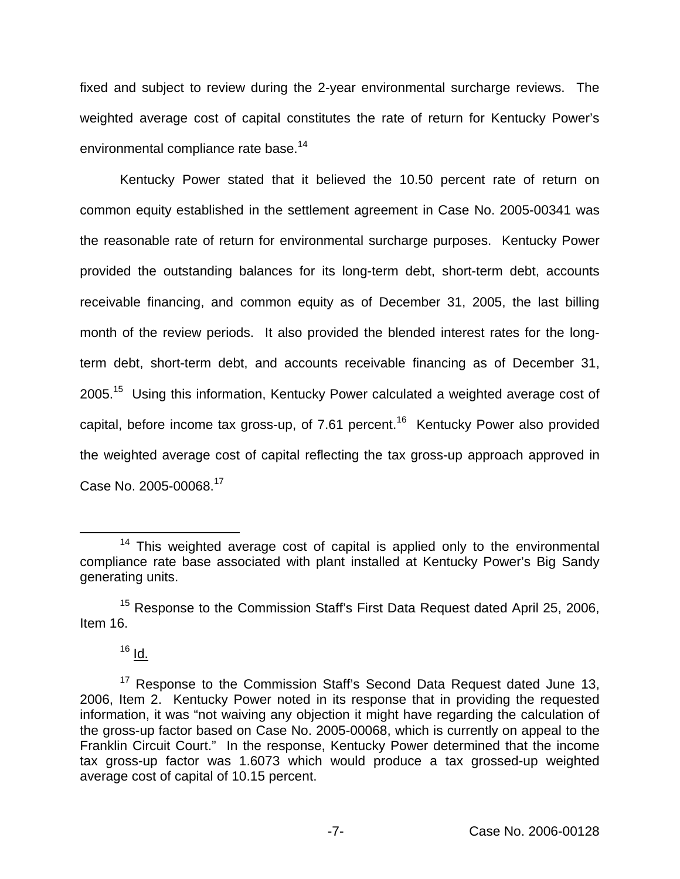fixed and subject to review during the 2-year environmental surcharge reviews. The weighted average cost of capital constitutes the rate of return for Kentucky Power's environmental compliance rate base.<sup>14</sup>

Kentucky Power stated that it believed the 10.50 percent rate of return on common equity established in the settlement agreement in Case No. 2005-00341 was the reasonable rate of return for environmental surcharge purposes. Kentucky Power provided the outstanding balances for its long-term debt, short-term debt, accounts receivable financing, and common equity as of December 31, 2005, the last billing month of the review periods. It also provided the blended interest rates for the longterm debt, short-term debt, and accounts receivable financing as of December 31, 2005.15 Using this information, Kentucky Power calculated a weighted average cost of capital, before income tax gross-up, of 7.61 percent.<sup>16</sup> Kentucky Power also provided the weighted average cost of capital reflecting the tax gross-up approach approved in Case No. 2005-00068.17

 $16$   $\underline{Id}$ .

<sup>&</sup>lt;sup>14</sup> This weighted average cost of capital is applied only to the environmental compliance rate base associated with plant installed at Kentucky Power's Big Sandy generating units.

<sup>&</sup>lt;sup>15</sup> Response to the Commission Staff's First Data Request dated April 25, 2006, Item 16.

<sup>&</sup>lt;sup>17</sup> Response to the Commission Staff's Second Data Request dated June 13, 2006, Item 2. Kentucky Power noted in its response that in providing the requested information, it was "not waiving any objection it might have regarding the calculation of the gross-up factor based on Case No. 2005-00068, which is currently on appeal to the Franklin Circuit Court." In the response, Kentucky Power determined that the income tax gross-up factor was 1.6073 which would produce a tax grossed-up weighted average cost of capital of 10.15 percent.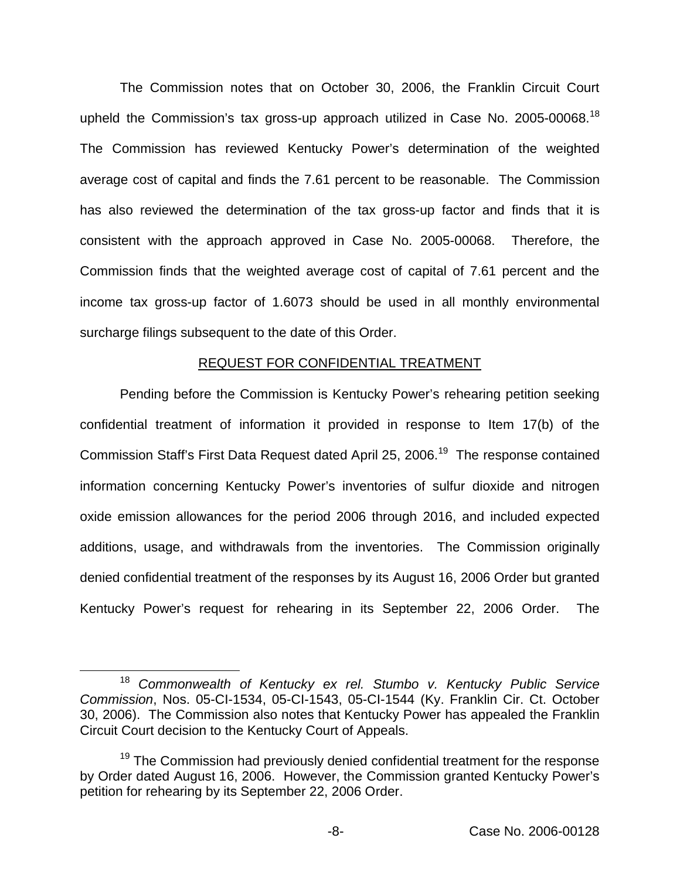The Commission notes that on October 30, 2006, the Franklin Circuit Court upheld the Commission's tax gross-up approach utilized in Case No. 2005-00068.<sup>18</sup> The Commission has reviewed Kentucky Power's determination of the weighted average cost of capital and finds the 7.61 percent to be reasonable. The Commission has also reviewed the determination of the tax gross-up factor and finds that it is consistent with the approach approved in Case No. 2005-00068. Therefore, the Commission finds that the weighted average cost of capital of 7.61 percent and the income tax gross-up factor of 1.6073 should be used in all monthly environmental surcharge filings subsequent to the date of this Order.

#### REQUEST FOR CONFIDENTIAL TREATMENT

Pending before the Commission is Kentucky Power's rehearing petition seeking confidential treatment of information it provided in response to Item 17(b) of the Commission Staff's First Data Request dated April 25, 2006.<sup>19</sup> The response contained information concerning Kentucky Power's inventories of sulfur dioxide and nitrogen oxide emission allowances for the period 2006 through 2016, and included expected additions, usage, and withdrawals from the inventories. The Commission originally denied confidential treatment of the responses by its August 16, 2006 Order but granted Kentucky Power's request for rehearing in its September 22, 2006 Order. The

<sup>18</sup> *Commonwealth of Kentucky ex rel. Stumbo v. Kentucky Public Service Commission*, Nos. 05-CI-1534, 05-CI-1543, 05-CI-1544 (Ky. Franklin Cir. Ct. October 30, 2006). The Commission also notes that Kentucky Power has appealed the Franklin Circuit Court decision to the Kentucky Court of Appeals.

 $19$  The Commission had previously denied confidential treatment for the response by Order dated August 16, 2006. However, the Commission granted Kentucky Power's petition for rehearing by its September 22, 2006 Order.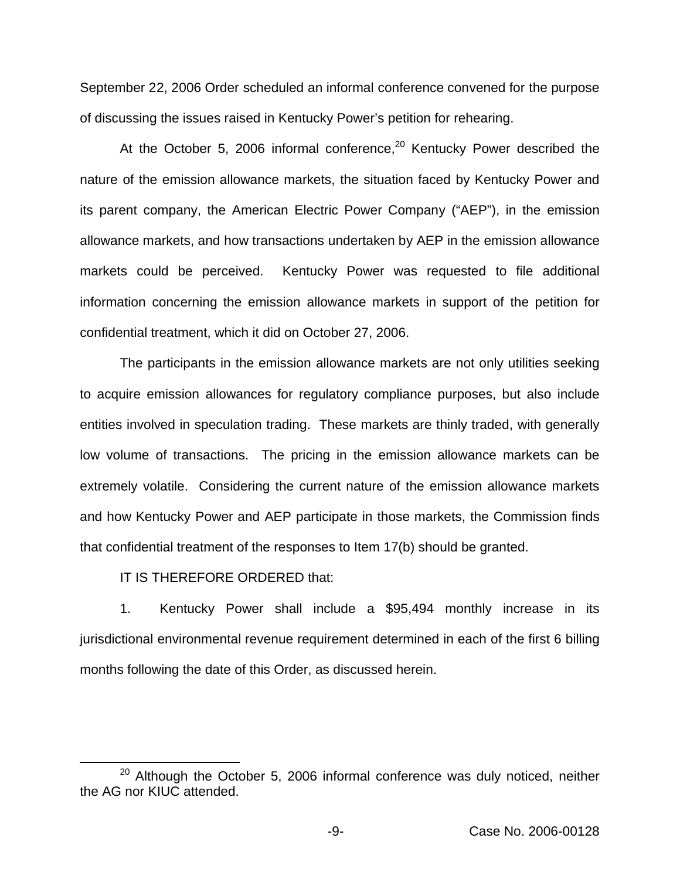September 22, 2006 Order scheduled an informal conference convened for the purpose of discussing the issues raised in Kentucky Power's petition for rehearing.

At the October 5, 2006 informal conference, $20$  Kentucky Power described the nature of the emission allowance markets, the situation faced by Kentucky Power and its parent company, the American Electric Power Company ("AEP"), in the emission allowance markets, and how transactions undertaken by AEP in the emission allowance markets could be perceived. Kentucky Power was requested to file additional information concerning the emission allowance markets in support of the petition for confidential treatment, which it did on October 27, 2006.

The participants in the emission allowance markets are not only utilities seeking to acquire emission allowances for regulatory compliance purposes, but also include entities involved in speculation trading. These markets are thinly traded, with generally low volume of transactions. The pricing in the emission allowance markets can be extremely volatile. Considering the current nature of the emission allowance markets and how Kentucky Power and AEP participate in those markets, the Commission finds that confidential treatment of the responses to Item 17(b) should be granted.

IT IS THEREFORE ORDERED that:

1. Kentucky Power shall include a \$95,494 monthly increase in its jurisdictional environmental revenue requirement determined in each of the first 6 billing months following the date of this Order, as discussed herein.

 $20$  Although the October 5, 2006 informal conference was duly noticed, neither the AG nor KIUC attended.